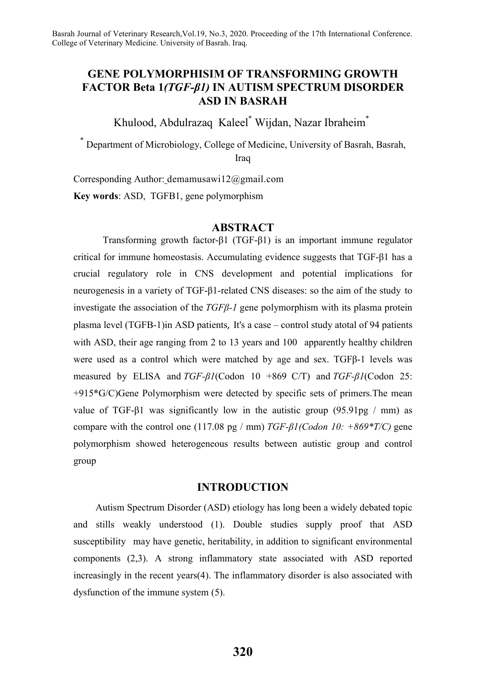# **GENE POLYMORPHISIM OF TRANSFORMING GROWTH FACTOR Beta 1***(TGF-β1)* **IN AUTISM SPECTRUM DISORDER ASD IN BASRAH**

Khulood, Abdulrazaq Kaleel\* Wijdan, Nazar Ibraheim\*

**\*** Department of Microbiology, College of Medicine, University of Basrah, Basrah, Iraq

Corresponding Author: demamusawi12@gmail.com **Key words**: ASD, TGFB1, gene polymorphism

## **ABSTRACT**

Transforming growth factor-β1 (TGF-β1) is an important immune regulator critical for immune homeostasis. Accumulating evidence suggests that TGF-β1 has a crucial regulatory role in CNS development and potential implications for neurogenesis in a variety of TGF-β1-related CNS diseases: so the aim of the study to investigate the association of the *TGFβ-1* gene polymorphism with its plasma protein plasma level (TGFB-1)in ASD patients, It's a case – control study atotal of 94 patients with ASD, their age ranging from 2 to 13 years and 100 apparently healthy children were used as a control which were matched by age and sex. TGFβ-1 levels was measured by ELISA and *TGF-β1*(Codon 10 +869 C/T) and *TGF-β1*(Codon 25: +915\*G/C)Gene Polymorphism were detected by specific sets of primers.The mean value of TGF- $\beta$ 1 was significantly low in the autistic group (95.91pg / mm) as compare with the control one (117.08 pg / mm) *TGF-β1(Codon 10: +869\*T/C)* gene polymorphism showed heterogeneous results between autistic group and control group

# **INTRODUCTION**

Autism Spectrum Disorder (ASD) etiology has long been a widely debated topic and stills weakly understood (1). Double studies supply proof that ASD susceptibility may have genetic, heritability, in addition to significant environmental components (2,3). A strong inflammatory state associated with ASD reported increasingly in the recent years(4). The inflammatory disorder is also associated with dysfunction of the immune system (5).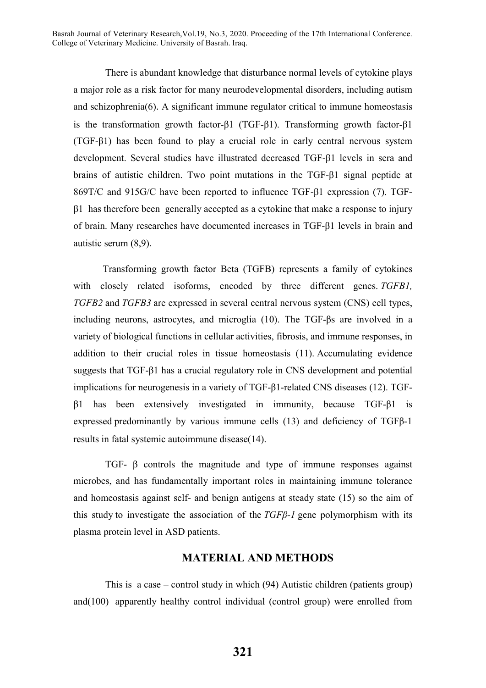There is abundant knowledge that disturbance normal levels of cytokine plays a major role as a risk factor for many neurodevelopmental disorders, including autism and schizophrenia(6). A significant immune regulator critical to immune homeostasis is the transformation growth factor-β1 (TGF-β1). Transforming growth factor-β1 (TGF-β1) has been found to play a crucial role in early central nervous system development. Several studies have illustrated decreased TGF-β1 levels in sera and brains of autistic children. Two point mutations in the TGF-β1 signal peptide at 869T/C and 915G/C have been reported to influence TGF-β1 expression (7). TGF $β1$  has therefore been generally accepted as a cytokine that make a response to injury of brain. Many researches have documented increases in TGF-β1 levels in brain and autistic serum (8,9).

Transforming growth factor Beta (TGFB) represents a family of cytokines with closely related isoforms, encoded by three different genes. *TGFB1*, *TGFB2* and *TGFB3* are expressed in several central nervous system (CNS) cell types, including neurons, astrocytes, and microglia (10). The TGF-βs are involved in a variety of biological functions in cellular activities, fibrosis, and immune responses, in addition to their crucial roles in tissue homeostasis (11). Accumulating evidence suggests that TGF-β1 has a crucial regulatory role in CNS development and potential implications for neurogenesis in a variety of TGF-β1-related CNS diseases (12). TGFβ1 has been extensively investigated in immunity, because TGF-β1 is expressed predominantly by various immune cells (13) and deficiency of TGFβ-1 results in fatal systemic autoimmune disease(14).

TGF- β controls the magnitude and type of immune responses against microbes, and has fundamentally important roles in maintaining immune tolerance and homeostasis against self- and benign antigens at steady state (15) so the aim of this study to investigate the association of the *TGFβ-1* gene polymorphism with its plasma protein level in ASD patients.

## **MATERIAL AND METHODS**

This is a case – control study in which (94) Autistic children (patients group) and(100) apparently healthy control individual (control group) were enrolled from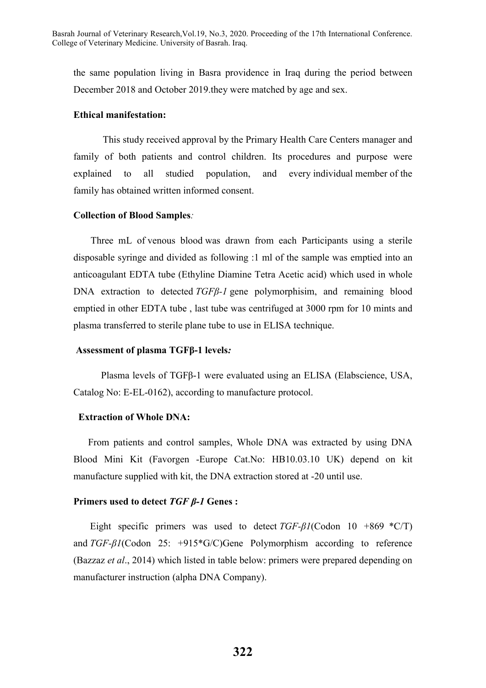the same population living in Basra providence in Iraq during the period between December 2018 and October 2019.they were matched by age and sex.

#### **Ethical manifestation:**

This study received approval by the Primary Health Care Centers manager and family of both patients and control children. Its procedures and purpose were explained to all studied population, and every individual member of the family has obtained written informed consent.

#### **Collection of Blood Samples***:*

Three mL of venous blood was drawn from each Participants using a sterile disposable syringe and divided as following :1 ml of the sample was emptied into an anticoagulant EDTA tube (Ethyline Diamine Tetra Acetic acid) which used in whole DNA extraction to detected *TGFβ-1* gene polymorphisim, and remaining blood emptied in other EDTA tube , last tube was centrifuged at 3000 rpm for 10 mints and plasma transferred to sterile plane tube to use in ELISA technique.

#### **Assessment of plasma TGFβ-1 levels***:*

Plasma levels of TGFβ-1 were evaluated using an ELISA (Elabscience, USA, Catalog No: E-EL-0162), according to manufacture protocol.

#### **Extraction of Whole DNA:**

From patients and control samples, Whole DNA was extracted by using DNA Blood Mini Kit (Favorgen -Europe Cat.No: HB10.03.10 UK) depend on kit manufacture supplied with kit, the DNA extraction stored at -20 until use.

### **Primers used to detect** *TGF β-1* **Genes :**

Eight specific primers was used to detect *TGF-β1*(Codon 10 +869 \*C/T) and *TGF-β1*(Codon 25: +915\*G/C)Gene Polymorphism according to reference (Bazzaz *et al*., 2014) which listed in table below: primers were prepared depending on manufacturer instruction (alpha DNA Company).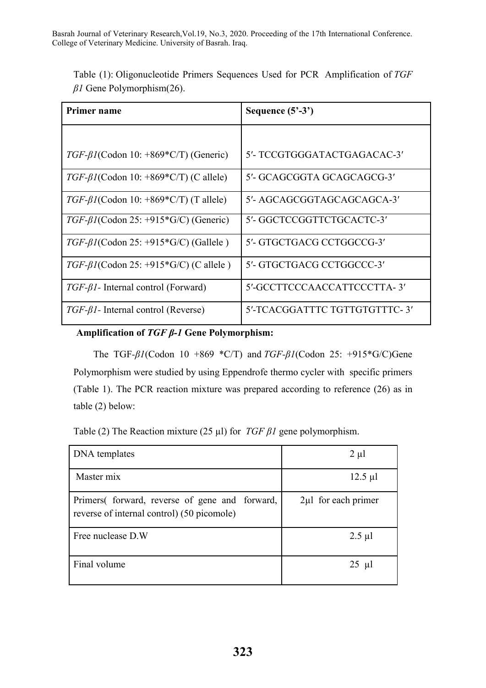| Table (1): Oligonucleotide Primers Sequences Used for PCR Amplification of TGF |  |  |  |
|--------------------------------------------------------------------------------|--|--|--|
| $\beta$ I Gene Polymorphism(26).                                               |  |  |  |

| Primer name                                           | Sequence $(5^2-3^2)$          |
|-------------------------------------------------------|-------------------------------|
|                                                       |                               |
| $TGF-\beta I(Codon 10: +869*C/T) (Generic)$           | 5'- TCCGTGGGATACTGAGACAC-3'   |
| $TGF-\beta I (Codon 10: +869*C/T) (C allele)$         | 5'- GCAGCGGTA GCAGCAGCG-3'    |
| TGF- $\beta$ <i>I</i> (Codon 10: +869*C/T) (T allele) | 5'- AGCAGCGGTAGCAGCAGCA-3'    |
| $TGF-BI(Codon 25: +915*G/C)$ (Generic)                | 5'-GGCTCCGGTTCTGCACTC-3'      |
| $TGF-\beta I$ (Codon 25: +915*G/C) (Gallele)          | 5'- GTGCTGACG CCTGGCCG-3'     |
| $TGF-\beta I (Codon 25: +915*G/C) (C allele)$         | 5'- GTGCTGACG CCTGGCCC-3'     |
| $TGF-\beta1- Internal control (Forward)$              | 5'-GCCTTCCCAACCATTCCCTTA-3'   |
| $TGF-\beta1- Internal control (Reverse)$              | 5'-TCACGGATTTC TGTTGTGTTTC-3' |

# **Amplification of** *TGF β-1* **Gene Polymorphism:**

The TGF*-β1*(Codon 10 +869 \*C/T) and *TGF-β1*(Codon 25: +915\*G/C)Gene Polymorphism were studied by using Eppendrofe thermo cycler with specific primers (Table 1). The PCR reaction mixture was prepared according to reference (26) as in table (2) below:

Table (2) The Reaction mixture (25 µl) for *TGF β1* gene polymorphism.

| DNA templates                                                                               | $2 \mu l$                |
|---------------------------------------------------------------------------------------------|--------------------------|
| Master mix                                                                                  | $12.5 \mu l$             |
| Primers forward, reverse of gene and forward,<br>reverse of internal control) (50 picomole) | $2\mu l$ for each primer |
| Free nuclease D.W                                                                           | $2.5 \mu l$              |
| Final volume                                                                                | $25 \mu l$               |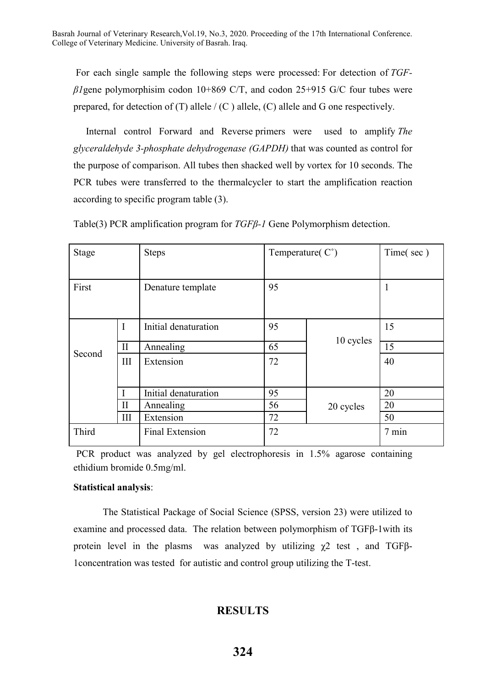For each single sample the following steps were processed: For detection of *TGFβ1*gene polymorphisim codon 10+869 C/T, and codon 25+915 G/C four tubes were prepared, for detection of (T) allele  $/(C)$  allele,  $(C)$  allele and G one respectively.

Internal control Forward and Reverse primers were used to amplify *The glyceraldehyde 3-phosphate dehydrogenase (GAPDH)* that was counted as control for the purpose of comparison. All tubes then shacked well by vortex for 10 seconds. The PCR tubes were transferred to the thermalcycler to start the amplification reaction according to specific program table (3).

| Stage  |              | <b>Steps</b>           |    | Temperature( $C^{\circ}$ ) |           |
|--------|--------------|------------------------|----|----------------------------|-----------|
|        |              |                        |    |                            | Time(sec) |
|        |              |                        |    |                            |           |
| First  |              | Denature template      | 95 |                            |           |
|        |              |                        |    |                            |           |
|        |              |                        |    |                            |           |
|        | $\mathbf I$  | Initial denaturation   | 95 |                            | 15        |
| Second |              |                        |    | 10 cycles                  |           |
|        | $\mathbf{I}$ | 65<br>Annealing        |    | 15                         |           |
|        | III          | Extension              | 72 |                            | 40        |
|        |              |                        |    |                            |           |
|        |              |                        |    |                            |           |
|        |              | Initial denaturation   | 95 |                            | 20        |
|        | $\mathbf{I}$ | Annealing              | 56 | 20 cycles                  | 20        |
|        | III          | Extension              | 72 |                            | 50        |
| Third  |              | <b>Final Extension</b> | 72 |                            |           |
|        |              |                        |    |                            |           |

Table(3) PCR amplification program for *TGFβ-1* Gene Polymorphism detection.

PCR product was analyzed by gel electrophoresis in 1.5% agarose containing ethidium bromide 0.5mg/ml.

## **Statistical analysis**:

The Statistical Package of Social Science (SPSS, version 23) were utilized to examine and processed data. The relation between polymorphism of TGFβ-1with its protein level in the plasms was analyzed by utilizing  $\chi$ 2 test, and TGFβ-1concentration was tested for autistic and control group utilizing the T-test.

# **RESULTS**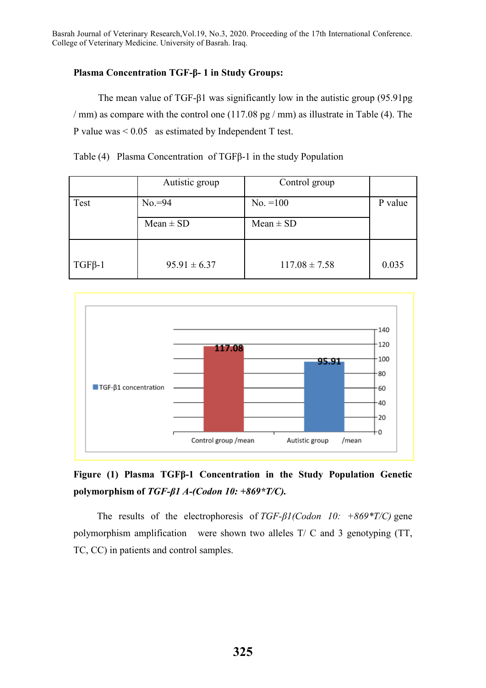# **Plasma Concentration TGF-β- 1 in Study Groups:**

The mean value of TGF-β1 was significantly low in the autistic group (95.91pg / mm) as compare with the control one (117.08 pg / mm) as illustrate in Table (4). The P value was < 0.05 as estimated by Independent T test.

Table (4) Plasma Concentration of TGFβ-1 in the study Population

|              | Autistic group   | Control group     |         |
|--------------|------------------|-------------------|---------|
| Test         | $No = 94$        | $No. = 100$       | P value |
|              | $Mean \pm SD$    | $Mean \pm SD$     |         |
| $TGF\beta-1$ | $95.91 \pm 6.37$ | $117.08 \pm 7.58$ | 0.035   |
|              |                  |                   |         |



# **Figure (1) Plasma TGFβ-1 Concentration in the Study Population Genetic polymorphism of** *TGF-β1 A-(Codon 10: +869\*T/C).*

The results of the electrophoresis of *TGF-β1(Codon 10: +869\*T/C)* gene polymorphism amplification were shown two alleles T/ C and 3 genotyping (TT, TC, CC) in patients and control samples.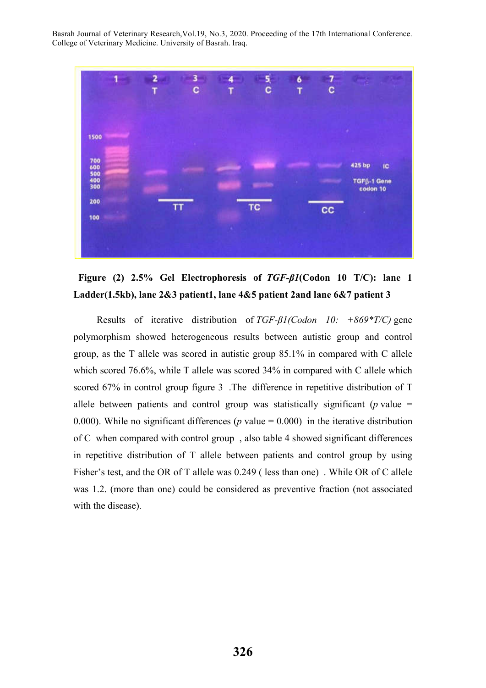



Results of iterative distribution of *TGF-β1(Codon 10: +869\*T/C)* gene polymorphism showed heterogeneous results between autistic group and control group, as the T allele was scored in autistic group 85.1% in compared with C allele which scored 76.6%, while T allele was scored 34% in compared with C allele which scored 67% in control group figure 3 .The difference in repetitive distribution of T allele between patients and control group was statistically significant ( $p$  value = 0.000). While no significant differences ( $p$  value = 0.000) in the iterative distribution of C when compared with control group , also table 4 showed significant differences in repetitive distribution of T allele between patients and control group by using Fisher's test, and the OR of T allele was 0.249 ( less than one) . While OR of C allele was 1.2. (more than one) could be considered as preventive fraction (not associated with the disease).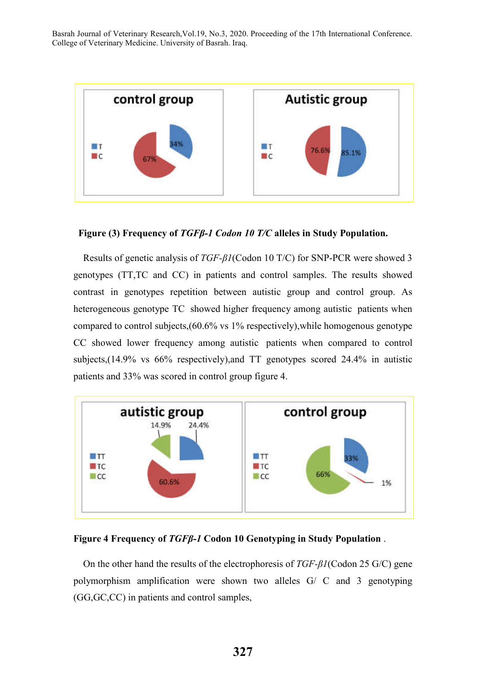

### **Figure (3) Frequency of** *TGFβ-1 Codon 10 T/C* **alleles in Study Population.**

Results of genetic analysis of *TGF-β1*(Codon 10 T/C) for SNP-PCR were showed 3 genotypes (TT,TC and CC) in patients and control samples. The results showed contrast in genotypes repetition between autistic group and control group. As heterogeneous genotype TC showed higher frequency among autistic patients when compared to control subjects,(60.6% vs 1% respectively),while homogenous genotype CC showed lower frequency among autistic patients when compared to control subjects,(14.9% vs 66% respectively),and TT genotypes scored 24.4% in autistic patients and 33% was scored in control group figure 4.



### **Figure 4 Frequency of** *TGFβ-1* **Codon 10 Genotyping in Study Population** .

On the other hand the results of the electrophoresis of *TGF-β1*(Codon 25 G/C) gene polymorphism amplification were shown two alleles G/ C and 3 genotyping (GG,GC,CC) in patients and control samples,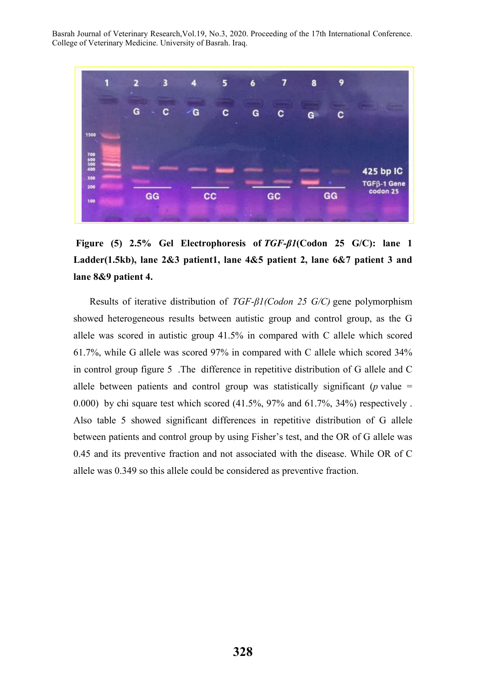

**Figure (5) 2.5% Gel Electrophoresis of** *TGF-β1***(Codon 25 G/C): lane 1 Ladder(1.5kb), lane 2&3 patient1, lane 4&5 patient 2, lane 6&7 patient 3 and lane 8&9 patient 4.**

Results of iterative distribution of *TGF-β1(Codon 25 G/C)* gene polymorphism showed heterogeneous results between autistic group and control group, as the G allele was scored in autistic group 41.5% in compared with C allele which scored 61.7%, while G allele was scored 97% in compared with C allele which scored 34% in control group figure 5 .The difference in repetitive distribution of G allele and C allele between patients and control group was statistically significant ( $p$  value = 0.000) by chi square test which scored (41.5%, 97% and 61.7%, 34%) respectively . Also table 5 showed significant differences in repetitive distribution of G allele between patients and control group by using Fisher's test, and the OR of G allele was 0.45 and its preventive fraction and not associated with the disease. While OR of C allele was 0.349 so this allele could be considered as preventive fraction.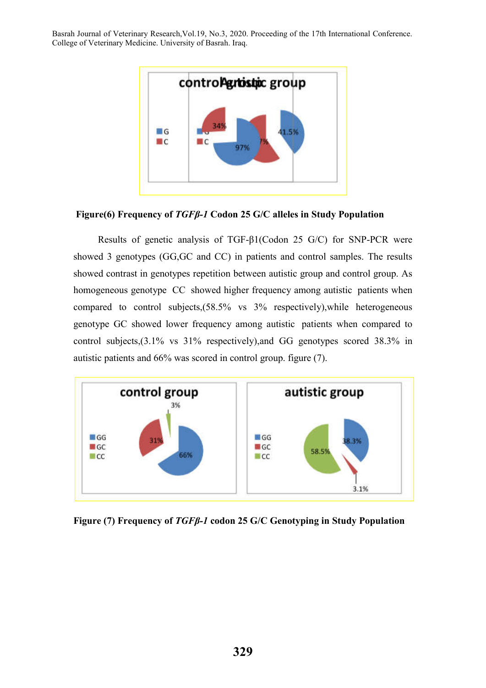

**Figure(6) Frequency of** *TGFβ-1* **Codon 25 G/C alleles in Study Population**

Results of genetic analysis of TGF-β1(Codon 25 G/C) for SNP-PCR were showed 3 genotypes (GG,GC and CC) in patients and control samples. The results showed contrast in genotypes repetition between autistic group and control group. As homogeneous genotype CC showed higher frequency among autistic patients when compared to control subjects,(58.5% vs 3% respectively),while heterogeneous genotype GC showed lower frequency among autistic patients when compared to control subjects,(3.1% vs 31% respectively),and GG genotypes scored 38.3% in autistic patients and 66% was scored in control group. figure (7).



**Figure (7) Frequency of** *TGFβ-1* **codon 25 G/C Genotyping in Study Population**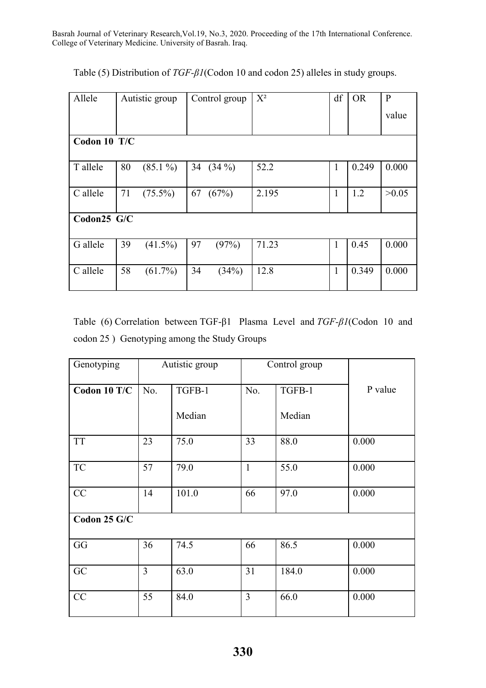| Allele       | Autistic group   | Control group  | $X^2$ | df           | <b>OR</b> | $\mathbf{P}$ |
|--------------|------------------|----------------|-------|--------------|-----------|--------------|
|              |                  |                |       |              |           | value        |
| Codon 10 T/C |                  |                |       |              |           |              |
| T allele     | 80<br>$(85.1\%)$ | 34<br>$(34\%)$ | 52.2  | 1            | 0.249     | 0.000        |
| C allele     | 71<br>$(75.5\%)$ | 67<br>(67%)    | 2.195 | 1            | 1.2       | >0.05        |
| Codon25 G/C  |                  |                |       |              |           |              |
| G allele     | 39<br>$(41.5\%)$ | 97<br>(97%)    | 71.23 | $\mathbf{1}$ | 0.45      | 0.000        |
| C allele     | 58<br>$(61.7\%)$ | 34<br>(34%)    | 12.8  | $\mathbf{1}$ | 0.349     | 0.000        |

Table (5) Distribution of *TGF-β1*(Codon 10 and codon 25) alleles in study groups.

Table (6) Correlation between TGF-β1 Plasma Level and *TGF-β1*(Codon 10 and codon 25 ) Genotyping among the Study Groups

| Genotyping   |                | Autistic group | Control group  |        |         |
|--------------|----------------|----------------|----------------|--------|---------|
| Codon 10 T/C | No.            | TGFB-1         | No.            | TGFB-1 | P value |
|              |                | Median         |                | Median |         |
| <b>TT</b>    | 23             | 75.0           | 33             | 88.0   | 0.000   |
| <b>TC</b>    | 57             | 79.0           | $\mathbf{1}$   | 55.0   | 0.000   |
| CC           | 14             | 101.0          | 66             | 97.0   | 0.000   |
| Codon 25 G/C |                |                |                |        |         |
| GG           | 36             | 74.5           | 66             | 86.5   | 0.000   |
| GC           | $\overline{3}$ | 63.0           | 31             | 184.0  | 0.000   |
| CC           | 55             | 84.0           | $\overline{3}$ | 66.0   | 0.000   |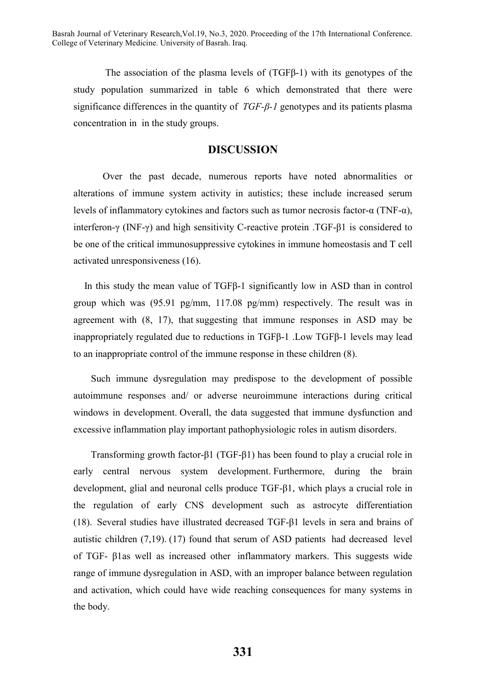The association of the plasma levels of (TGFβ-1) with its genotypes of the study population summarized in table 6 which demonstrated that there were significance differences in the quantity of *TGF-β-1* genotypes and its patients plasma concentration in in the study groups.

# **DISCUSSION**

Over the past decade, numerous reports have noted abnormalities or alterations of immune system activity in autistics; these include increased serum levels of inflammatory cytokines and factors such as tumor necrosis factor-α (TNF-α), interferon-γ (INF-γ) and high sensitivity C-reactive protein .TGF-β1 is considered to be one of the critical immunosuppressive cytokines in immune homeostasis and T cell activated unresponsiveness (16).

In this study the mean value of TGFβ-1 significantly low in ASD than in control group which was (95.91 pg/mm, 117.08 pg/mm) respectively. The result was in agreement with (8, 17), that suggesting that immune responses in ASD may be inappropriately regulated due to reductions in TGFβ-1 .Low TGFβ-1 levels may lead to an inappropriate control of the immune response in these children (8).

Such immune dysregulation may predispose to the development of possible autoimmune responses and/ or adverse neuroimmune interactions during critical windows in development. Overall, the data suggested that immune dysfunction and excessive inflammation play important pathophysiologic roles in autism disorders.

Transforming growth factor-β1 (TGF-β1) has been found to play a crucial role in early central nervous system development. Furthermore, during the brain development, glial and neuronal cells produce TGF-β1, which plays a crucial role in the regulation of early CNS development such as astrocyte differentiation (18). Several studies have illustrated decreased TGF-β1 levels in sera and brains of autistic children (7,19). (17) found that serum of ASD patients had decreased level of TGF- β1as well as increased other inflammatory markers. This suggests wide range of immune dysregulation in ASD, with an improper balance between regulation and activation, which could have wide reaching consequences for many systems in the body.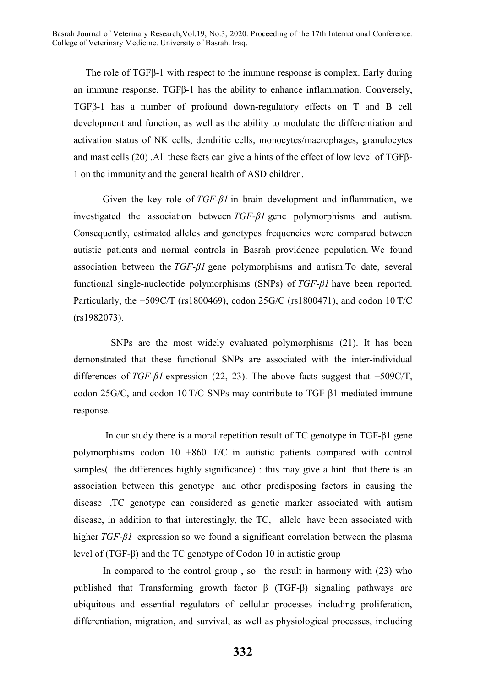The role of TGFβ-1 with respect to the immune response is complex. Early during an immune response, TGFβ-1 has the ability to enhance inflammation. Conversely, TGFβ-1 has a number of profound down-regulatory effects on T and B cell development and function, as well as the ability to modulate the differentiation and activation status of NK cells, dendritic cells, monocytes/macrophages, granulocytes and mast cells (20) .All these facts can give a hints of the effect of low level of TGFβ-1 on the immunity and the general health of ASD children.

Given the key role of *TGF-β1* in brain development and inflammation, we investigated the association between *TGF-β1* gene polymorphisms and autism. Consequently, estimated alleles and genotypes frequencies were compared between autistic patients and normal controls in Basrah providence population. We found association between the *TGF-β1* gene polymorphisms and autism.To date, several functional single-nucleotide polymorphisms (SNPs) of *TGF-β1* have been reported. Particularly, the −509C/T (rs1800469), codon 25G/C (rs1800471), and codon 10 T/C (rs1982073).

SNPs are the most widely evaluated polymorphisms (21). It has been demonstrated that these functional SNPs are associated with the inter-individual differences of *TGF-β1* expression (22, 23). The above facts suggest that −509C/T, codon 25G/C, and codon 10 T/C SNPs may contribute to TGF-β1-mediated immune response.

In our study there is a moral repetition result of TC genotype in TGF-β1 gene polymorphisms codon 10 +860 T/C in autistic patients compared with control samples( the differences highly significance) : this may give a hint that there is an association between this genotype and other predisposing factors in causing the disease ,TC genotype can considered as genetic marker associated with autism disease, in addition to that interestingly, the TC, allele have been associated with higher *TGF-β1* expression so we found a significant correlation between the plasma level of (TGF-β) and the TC genotype of Codon 10 in autistic group

In compared to the control group , so the result in harmony with (23) who published that Transforming growth factor β (TGF-β) signaling pathways are ubiquitous and essential regulators of cellular processes including proliferation, differentiation, migration, and survival, as well as physiological processes, including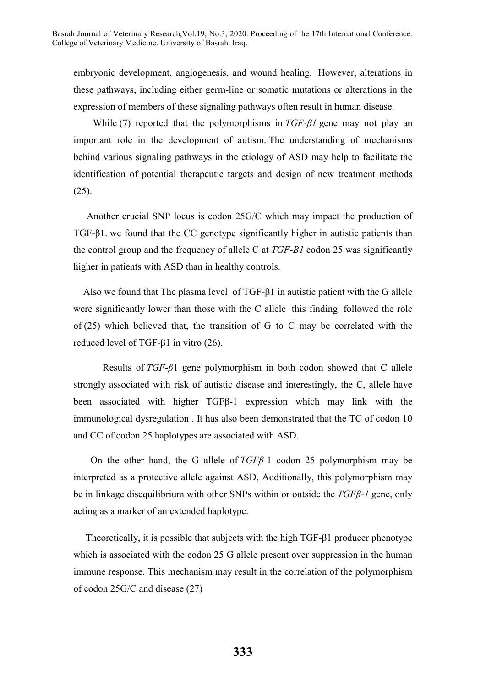embryonic development, angiogenesis, and wound healing. However, alterations in these pathways, including either germ-line or somatic mutations or alterations in the expression of members of these signaling pathways often result in human disease.

While (7) reported that the polymorphisms in *TGF-β1* gene may not play an important role in the development of autism. The understanding of mechanisms behind various signaling pathways in the etiology of ASD may help to facilitate the identification of potential therapeutic targets and design of new treatment methods (25).

Another crucial SNP locus is codon 25G/C which may impact the production of TGF-β1. we found that the CC genotype significantly higher in autistic patients than the control group and the frequency of allele C at *TGF-B1* codon 25 was significantly higher in patients with ASD than in healthy controls.

Also we found that The plasma level of TGF-β1 in autistic patient with the G allele were significantly lower than those with the C allele this finding followed the role of (25) which believed that, the transition of G to C may be correlated with the reduced level of TGF-β1 in vitro (26).

Results of *TGF-β*1 gene polymorphism in both codon showed that C allele strongly associated with risk of autistic disease and interestingly, the C, allele have been associated with higher TGFβ-1 expression which may link with the immunological dysregulation . It has also been demonstrated that the TC of codon 10 and CC of codon 25 haplotypes are associated with ASD.

On the other hand, the G allele of *TGFβ*-1 codon 25 polymorphism may be interpreted as a protective allele against ASD, Additionally, this polymorphism may be in linkage disequilibrium with other SNPs within or outside the *TGFβ-1* gene, only acting as a marker of an extended haplotype.

Theoretically, it is possible that subjects with the high TGF-β1 producer phenotype which is associated with the codon 25 G allele present over suppression in the human immune response. This mechanism may result in the correlation of the polymorphism of codon 25G/C and disease (27)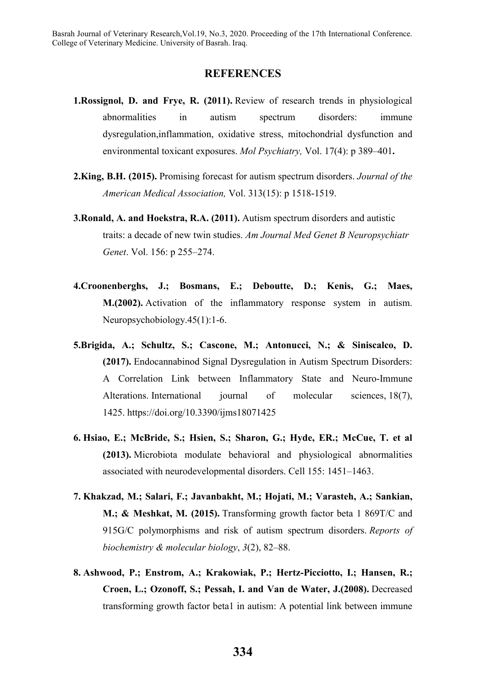## **REFERENCES**

- **1.Rossignol, D. and Frye, R. (2011).** Review of research trends in physiological abnormalities in autism spectrum disorders: immune dysregulation,inflammation, oxidative stress, mitochondrial dysfunction and environmental toxicant exposures. *Mol Psychiatry,* Vol. 17(4): p 389–401**.**
- **2.King, B.H. (2015).** Promising forecast for autism spectrum disorders. *Journal of the American Medical Association,* Vol. 313(15): p 1518-1519.
- **3.Ronald, A. and Hoekstra, R.A. (2011).** Autism spectrum disorders and autistic traits: a decade of new twin studies. *Am Journal Med Genet B Neuropsychiatr Genet*. Vol. 156: p 255–274.
- **4.Croonenberghs, J.; Bosmans, E.; Deboutte, D.; Kenis, G.; Maes, M.(2002).** Activation of the inflammatory response system in autism. Neuropsychobiology.45(1):1-6.
- **5.Brigida, A.; Schultz, S.; Cascone, M.; Antonucci, N.; & Siniscalco, D. (2017).** Endocannabinod Signal Dysregulation in Autism Spectrum Disorders: A Correlation Link between Inflammatory State and Neuro-Immune Alterations. International journal of molecular sciences, 18(7), 1425. https://doi.org/10.3390/ijms18071425
- **6. Hsiao, E.; McBride, S.; Hsien, S.; Sharon, G.; Hyde, ER.; McCue, T. et al (2013).** Microbiota modulate behavioral and physiological abnormalities associated with neurodevelopmental disorders. Cell 155: 1451–1463.
- **7. Khakzad, M.; Salari, F.; Javanbakht, M.; Hojati, M.; Varasteh, A.; Sankian, M.; & Meshkat, M. (2015).** Transforming growth factor beta 1 869T/C and 915G/C polymorphisms and risk of autism spectrum disorders. *Reports of biochemistry & molecular biology*, *3*(2), 82–88.
- **8. Ashwood, P.; Enstrom, A.; Krakowiak, P.; Hertz-Picciotto, I.; Hansen, R.; Croen, L.; Ozonoff, S.; Pessah, I. and Van de Water, J.(2008).** Decreased transforming growth factor beta1 in autism: A potential link between immune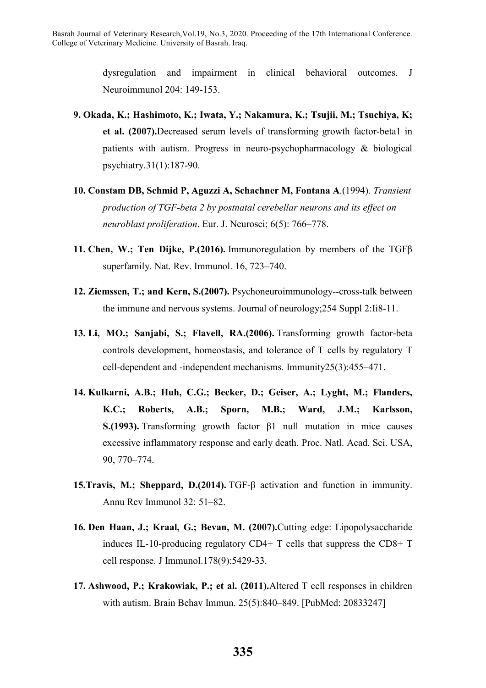dysregulation and impairment in clinical behavioral outcomes. J Neuroimmunol 204: 149-153.

- **9. Okada, K.; Hashimoto, K.; Iwata, Y.; Nakamura, K.; Tsujii, M.; Tsuchiya, K; et al. (2007).**Decreased serum levels of transforming growth factor-beta1 in patients with autism. Progress in neuro-psychopharmacology & biological psychiatry.31(1):187-90.
- **10. Constam DB, Schmid P, Aguzzi A, Schachner M, Fontana A**.(1994). *Transient production of TGF-beta 2 by postnatal cerebellar neurons and its effect on neuroblast proliferation*. Eur. J. Neurosci; 6(5): 766–778.
- **11. Chen, W.; Ten Dijke, P.(2016).** Immunoregulation by members of the TGFβ superfamily. Nat. Rev. Immunol. 16, 723–740.
- **12. Ziemssen, T.; and Kern, S.(2007).** Psychoneuroimmunology--cross-talk between the immune and nervous systems. Journal of neurology;254 Suppl 2:Ii8-11.
- **13. Li, MO.; Sanjabi, S.; Flavell, RA.(2006).** Transforming growth factor-beta controls development, homeostasis, and tolerance of T cells by regulatory T cell-dependent and -independent mechanisms. Immunity25(3):455–471.
- **14. Kulkarni, A.B.; Huh, C.G.; Becker, D.; Geiser, A.; Lyght, M.; Flanders, K.C.; Roberts, A.B.; Sporn, M.B.; Ward, J.M.; Karlsson, S.(1993).** Transforming growth factor β1 null mutation in mice causes excessive inflammatory response and early death. Proc. Natl. Acad. Sci. USA, 90, 770–774.
- **15.Travis, M.; Sheppard, D.(2014).** TGF-β activation and function in immunity. Annu Rev Immunol 32: 51–82.
- **16. Den Haan, J.; Kraal, G.; Bevan, M. (2007).**Cutting edge: Lipopolysaccharide induces IL-10-producing regulatory CD4+ T cells that suppress the CD8+ T cell response. J Immunol.178(9):5429-33.
- **17. Ashwood, P.; Krakowiak, P.; et al. (2011).**Altered T cell responses in children with autism. Brain Behav Immun. 25(5):840–849. [PubMed: 20833247]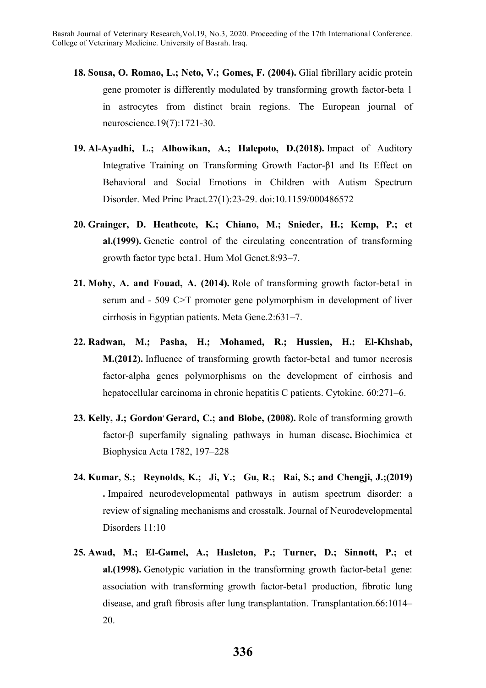- **18. Sousa, O. Romao, L.; Neto, V.; Gomes, F. (2004).** Glial fibrillary acidic protein gene promoter is differently modulated by transforming growth factor-beta 1 in astrocytes from distinct brain regions. The European journal of neuroscience.19(7):1721-30.
- **19. Al-Ayadhi, L.; Alhowikan, A.; Halepoto, D.(2018).** Impact of Auditory Integrative Training on Transforming Growth Factor-β1 and Its Effect on Behavioral and Social Emotions in Children with Autism Spectrum Disorder. Med Princ Pract.27(1):23-29. doi:10.1159/000486572
- **20. Grainger, D. Heathcote, K.; Chiano, M.; Snieder, H.; Kemp, P.; et al.(1999).** Genetic control of the circulating concentration of transforming growth factor type beta1. Hum Mol Genet.8:93–7.
- **21. Mohy, A. and Fouad, A. (2014).** Role of transforming growth factor-beta1 in serum and - 509 C>T promoter gene polymorphism in development of liver cirrhosis in Egyptian patients. Meta Gene.2:631–7.
- **22. Radwan, M.; Pasha, H.; Mohamed, R.; Hussien, H.; El-Khshab, M.(2012).** Influence of transforming growth factor-beta1 and tumor necrosis factor-alpha genes polymorphisms on the development of cirrhosis and hepatocellular carcinoma in chronic hepatitis C patients. Cytokine. 60:271–6.
- 23. Kelly, J.; Gordon' Gerard, C.; and Blobe, (2008). Role of transforming growth factor-β superfamily signaling pathways in human disease**.** Biochimica et Biophysica Acta 1782, 197–228
- **24. Kumar, S.; Reynolds, K.; Ji, Y.; Gu, R.; Rai, S.; and Chengji, J.;(2019) .** Impaired neurodevelopmental pathways in autism spectrum disorder: a review of signaling mechanisms and crosstalk. Journal of Neurodevelopmental Disorders 11:10
- **25. Awad, M.; El-Gamel, A.; Hasleton, P.; Turner, D.; Sinnott, P.; et al.(1998).** Genotypic variation in the transforming growth factor-beta1 gene: association with transforming growth factor-beta1 production, fibrotic lung disease, and graft fibrosis after lung transplantation. Transplantation.66:1014– 20.